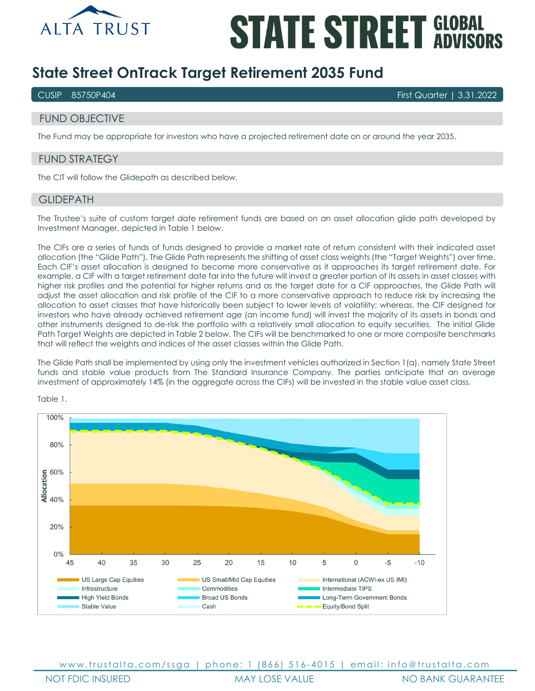

# **STATE STREET GLOBAL**

# **State Street OnTrack Target Retirement 2035 Fund**

CUSIP 85750P404 First Quarter | 3.31.2022

# FUND OBJECTIVE

The Fund may be appropriate for investors who have a projected retirement date on or around the year 2035.

# FUND STRATEGY

The CIT will follow the Glidepath as described below.

# **GLIDEPATH**

The Trustee's suite of custom target date retirement funds are based on an asset allocation glide path developed by Investment Manager, depicted in Table 1 below.

The CIFs are a series of funds of funds designed to provide a market rate of return consistent with their indicated asset allocation (the "Glide Path"). The Glide Path represents the shifting of asset class weights (the "Target Weights") over time. Each CIF's asset allocation is designed to become more conservative as it approaches its target retirement date. For example, a CIF with a target retirement date far into the future will invest a greater portion of its assets in asset classes with higher risk profiles and the potential for higher returns and as the target date for a CIF approaches, the Glide Path will adjust the asset allocation and risk profile of the CIF to a more conservative approach to reduce risk by increasing the allocation to asset classes that have historically been subject to lower levels of volatility; whereas, the CIF designed for investors who have already achieved retirement age (an income fund) will invest the majority of its assets in bonds and other instruments designed to de-risk the portfolio with a relatively small allocation to equity securities. The initial Glide Path Target Weights are depicted in Table 2 below. The CIFs will be benchmarked to one or more composite benchmarks that will reflect the weights and indices of the asset classes within the Glide Path.

The Glide Path shall be implemented by using only the investment vehicles authorized in Section 1(a), namely State Street funds and stable value products from The Standard Insurance Company. The parties anticipate that an average investment of approximately 14% (in the aggregate across the CIFs) will be invested in the stable value asset class.



Table 1.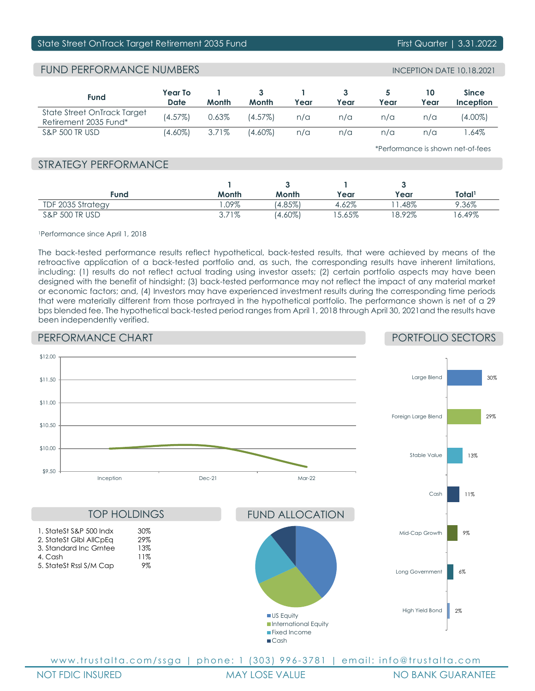# State Street OnTrack Target Retirement 2035 Fund First Quarter | 3.31.2022

# FUND PERFORMANCE NUMBERS

| <b>Fund</b>                                          | <b>Year To</b><br>Date | Month | Month      | Year | Year | Year | Year | <b>Since</b><br>Inception |
|------------------------------------------------------|------------------------|-------|------------|------|------|------|------|---------------------------|
| State Street OnTrack Target<br>Retirement 2035 Fund* | $(4.57\%)$             | 0.63% | $(4.57\%)$ | n/a  | n/a  | n/a  | n/a  | (4.00%)                   |
| <b>S&amp;P 500 TR USD</b>                            | $(4.60\%)$             | 3.71% | (4.60%)    | n/a  | n/a  | n/a  | n/a  | .64%                      |

\*Performance is shown net-of-fees

# STRATEGY PERFORMANCE

| Fund                      | Month   | Month      | Year     | Year     | Total'   |
|---------------------------|---------|------------|----------|----------|----------|
| TDF 2035 Strategy         | $.09\%$ | $(4.85\%)$ | 4.62%    | .48%     | 9.36%    |
| <b>S&amp;P 500 TR USD</b> | 3.71%   | $(4.60\%)$ | $5.65\%$ | $8.92\%$ | $6.49\%$ |

1Performance since April 1, 2018

The back-tested performance results reflect hypothetical, back-tested results, that were achieved by means of the retroactive application of a back-tested portfolio and, as such, the corresponding results have inherent limitations, including: (1) results do not reflect actual trading using investor assets; (2) certain portfolio aspects may have been designed with the benefit of hindsight; (3) back-tested performance may not reflect the impact of any material market or economic factors; and, (4) Investors may have experienced investment results during the corresponding time periods that were materially different from those portrayed in the hypothetical portfolio. The performance shown is net of a 29 bps blended fee. The hypothetical back-tested period ranges from April 1, 2018 through April 30, 2021and the results have been independently verified.

# PERFORMANCE CHART

# PORTFOLIO SECTORS



NOT FDIC INSURED MAY LOSE VALUE NO BANK GUARANTEE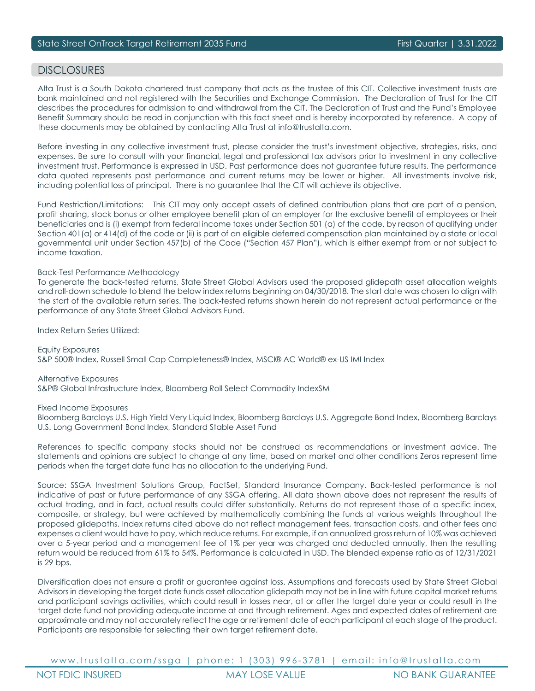# DISCI OSURES

Alta Trust is a South Dakota chartered trust company that acts as the trustee of this CIT. Collective investment trusts are bank maintained and not registered with the Securities and Exchange Commission. The Declaration of Trust for the CIT describes the procedures for admission to and withdrawal from the CIT. The Declaration of Trust and the Fund's Employee Benefit Summary should be read in conjunction with this fact sheet and is hereby incorporated by reference. A copy of these documents may be obtained by contacting Alta Trust at info@trustalta.com.

Before investing in any collective investment trust, please consider the trust's investment objective, strategies, risks, and expenses. Be sure to consult with your financial, legal and professional tax advisors prior to investment in any collective investment trust. Performance is expressed in USD. Past performance does not guarantee future results. The performance data quoted represents past performance and current returns may be lower or higher. All investments involve risk, including potential loss of principal. There is no guarantee that the CIT will achieve its objective.

Fund Restriction/Limitations: This CIT may only accept assets of defined contribution plans that are part of a pension, profit sharing, stock bonus or other employee benefit plan of an employer for the exclusive benefit of employees or their beneficiaries and is (i) exempt from federal income taxes under Section 501 (a) of the code, by reason of qualifying under Section 401(a) or 414(d) of the code or (ii) is part of an eligible deferred compensation plan maintained by a state or local governmental unit under Section 457(b) of the Code ("Section 457 Plan"), which is either exempt from or not subject to income taxation.

## Back-Test Performance Methodology

To generate the back-tested returns, State Street Global Advisors used the proposed glidepath asset allocation weights and roll-down schedule to blend the below index returns beginning on 04/30/2018. The start date was chosen to align with the start of the available return series. The back-tested returns shown herein do not represent actual performance or the performance of any State Street Global Advisors Fund.

Index Return Series Utilized:

Equity Exposures S&P 500® Index, Russell Small Cap Completeness® Index, MSCI® AC World® ex-US IMI Index

Alternative Exposures S&P® Global Infrastructure Index, Bloomberg Roll Select Commodity IndexSM

Fixed Income Exposures

Bloomberg Barclays U.S. High Yield Very Liquid Index, Bloomberg Barclays U.S. Aggregate Bond Index, Bloomberg Barclays U.S. Long Government Bond Index, Standard Stable Asset Fund

References to specific company stocks should not be construed as recommendations or investment advice. The statements and opinions are subject to change at any time, based on market and other conditions Zeros represent time periods when the target date fund has no allocation to the underlying Fund.

Source: SSGA Investment Solutions Group, FactSet, Standard Insurance Company. Back-tested performance is not indicative of past or future performance of any SSGA offering. All data shown above does not represent the results of actual trading, and in fact, actual results could differ substantially. Returns do not represent those of a specific index, composite, or strategy, but were achieved by mathematically combining the funds at various weights throughout the proposed glidepaths. Index returns cited above do not reflect management fees, transaction costs, and other fees and expenses a client would have to pay, which reduce returns. For example, if an annualized gross return of 10% was achieved over a 5-year period and a management fee of 1% per year was charged and deducted annually, then the resulting return would be reduced from 61% to 54%. Performance is calculated in USD. The blended expense ratio as of 12/31/2021 is 29 bps.

Diversification does not ensure a profit or guarantee against loss. Assumptions and forecasts used by State Street Global Advisors in developing the target date funds asset allocation glidepath may not be in line with future capital market returns and participant savings activities, which could result in losses near, at or after the target date year or could result in the target date fund not providing adequate income at and through retirement. Ages and expected dates of retirement are approximate and may not accurately reflect the age or retirement date of each participant at each stage of the product. Participants are responsible for selecting their own target retirement date.

www.trustalta.com/ ssga | phone: 1 ( 303 ) 996 - 3781 | email: info@trustalta.com